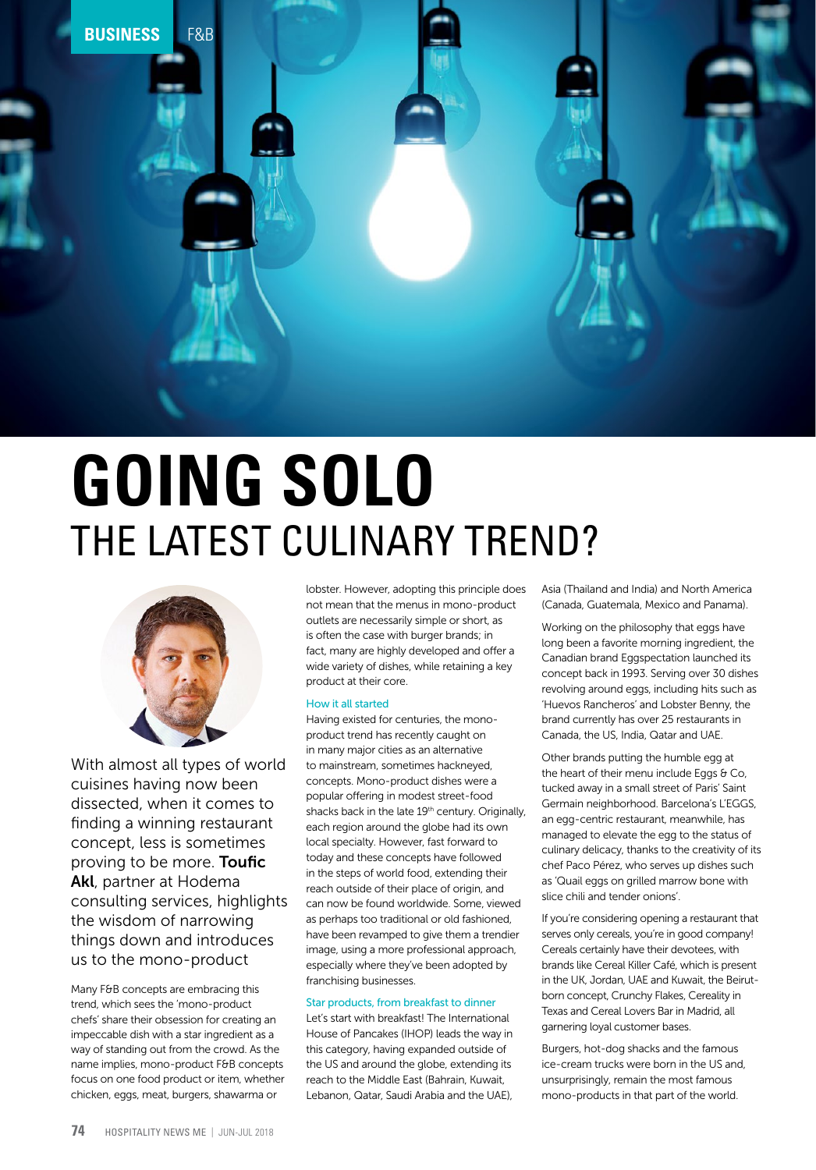

## **GOING SOLO** THE LATEST CULINARY TREND?



With almost all types of world cuisines having now been dissected, when it comes to finding a winning restaurant concept, less is sometimes proving to be more. **Toufic** Akl, partner at Hodema consulting services, highlights the wisdom of narrowing things down and introduces us to the mono-product

Many F&B concepts are embracing this trend, which sees the 'mono-product chefs' share their obsession for creating an impeccable dish with a star ingredient as a way of standing out from the crowd. As the name implies, mono-product F&B concepts focus on one food product or item, whether chicken, eggs, meat, burgers, shawarma or

lobster. However, adopting this principle does not mean that the menus in mono-product outlets are necessarily simple or short, as is often the case with burger brands; in fact, many are highly developed and offer a wide variety of dishes, while retaining a key product at their core.

## How it all started

Having existed for centuries, the monoproduct trend has recently caught on in many major cities as an alternative to mainstream, sometimes hackneyed, concepts. Mono-product dishes were a popular offering in modest street-food shacks back in the late 19<sup>th</sup> century. Originally, each region around the globe had its own local specialty. However, fast forward to today and these concepts have followed in the steps of world food, extending their reach outside of their place of origin, and can now be found worldwide. Some, viewed as perhaps too traditional or old fashioned, have been revamped to give them a trendier image, using a more professional approach, especially where they've been adopted by franchising businesses.

## Star products, from breakfast to dinner

Let's start with breakfast! The International House of Pancakes (IHOP) leads the way in this category, having expanded outside of the US and around the globe, extending its reach to the Middle East (Bahrain, Kuwait, Lebanon, Qatar, Saudi Arabia and the UAE),

Asia (Thailand and India) and North America (Canada, Guatemala, Mexico and Panama).

Working on the philosophy that eggs have long been a favorite morning ingredient, the Canadian brand Eggspectation launched its concept back in 1993. Serving over 30 dishes revolving around eggs, including hits such as 'Huevos Rancheros' and Lobster Benny, the brand currently has over 25 restaurants in Canada, the US, India, Qatar and UAE.

Other brands putting the humble egg at the heart of their menu include Eggs  $\theta$  Co, tucked away in a small street of Paris' Saint Germain neighborhood. Barcelona's L'EGGS, an egg-centric restaurant, meanwhile, has managed to elevate the egg to the status of culinary delicacy, thanks to the creativity of its chef Paco Pérez, who serves up dishes such as 'Quail eggs on grilled marrow bone with slice chili and tender onions'.

If you're considering opening a restaurant that serves only cereals, you're in good company! Cereals certainly have their devotees, with brands like Cereal Killer Café, which is present in the UK, Jordan, UAE and Kuwait, the Beirutborn concept, Crunchy Flakes, Cereality in Texas and Cereal Lovers Bar in Madrid, all garnering loyal customer bases.

Burgers, hot-dog shacks and the famous ice-cream trucks were born in the US and, unsurprisingly, remain the most famous mono-products in that part of the world.